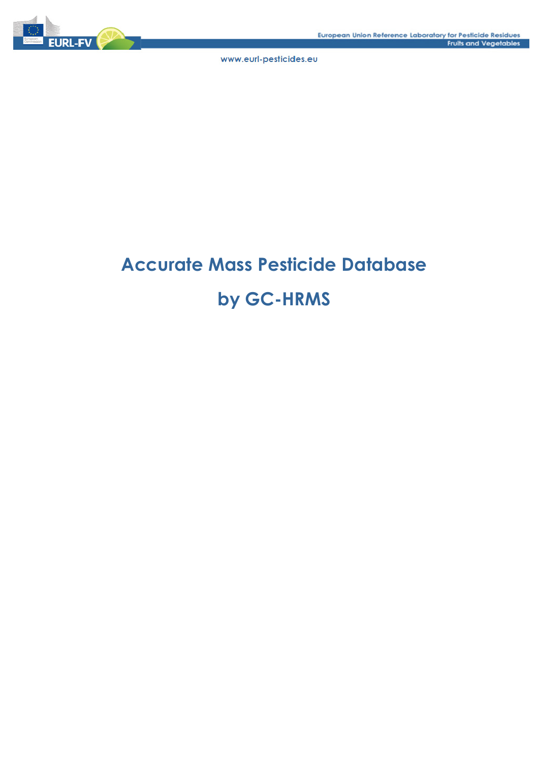

# **Accurate Mass Pesticide Database by GC-HRMS**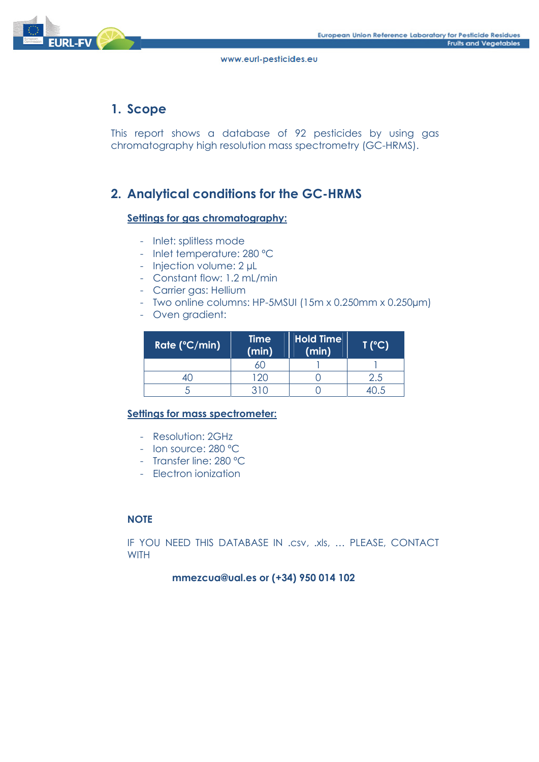

# **1. Scope**

This report shows a database of 92 pesticides by using gas chromatography high resolution mass spectrometry (GC-HRMS).

# **2. Analytical conditions for the GC-HRMS**

## **Settings for gas chromatography:**

- Inlet: splitless mode
- Inlet temperature: 280 ºC
- Injection volume: 2 µL
- Constant flow: 1.2 mL/min
- Carrier gas: Hellium
- Two online columns: HP-5MSUI (15m x 0.250mm x 0.250µm)
- Oven gradient:

| Rate (°C/min) | <b>Time</b><br>(min) | <b>Hold Time</b><br>(min) | T (°C) |
|---------------|----------------------|---------------------------|--------|
|               |                      |                           |        |
|               | $20^{\circ}$         |                           | 2.5    |
|               | 310                  |                           |        |

## **Settings for mass spectrometer:**

- Resolution: 2GHz
- Ion source: 280 ºC
- Transfer line: 280 ºC
- Electron ionization

## **NOTE**

IF YOU NEED THIS DATABASE IN .csv, .xls, … PLEASE, CONTACT **WITH** 

## **mmezcua@ual.es or (+34) 950 014 102**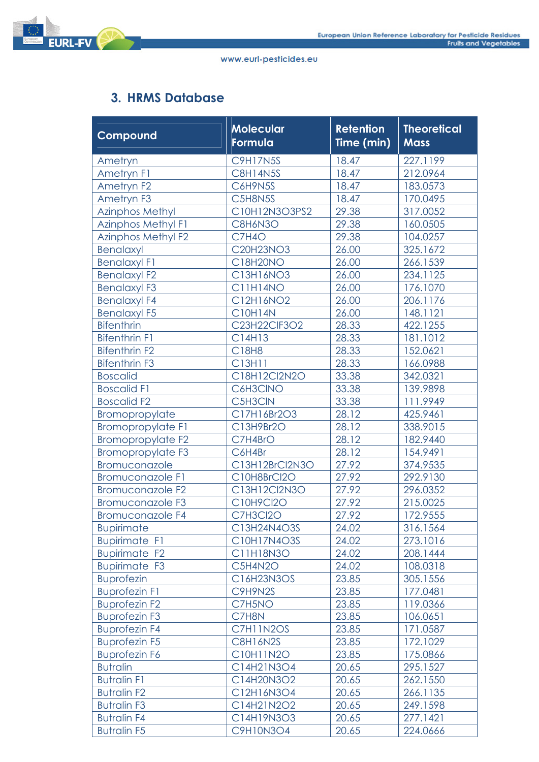

# **3. HRMS Database**

| Compound                  | <b>Molecular</b><br>Formula | <b>Retention</b><br>Time (min) | <b>Theoretical</b><br><b>Mass</b> |
|---------------------------|-----------------------------|--------------------------------|-----------------------------------|
| Ametryn                   | <b>C9H17N5S</b>             | 18.47                          | 227.1199                          |
| Ametryn F1                | <b>C8H14N5S</b>             | 18.47                          | 212.0964                          |
| Ametryn <sub>F2</sub>     | C6H9N5S                     | 18.47                          | 183.0573                          |
| Ametryn F3                | C5H8N5S                     | 18.47                          | 170.0495                          |
| <b>Azinphos Methyl</b>    | C10H12N3O3PS2               | 29.38                          | 317.0052                          |
| <b>Azinphos Methyl F1</b> | C8H6N3O                     | 29.38                          | 160.0505                          |
| <b>Azinphos Methyl F2</b> | C7H4O                       | 29.38                          | 104.0257                          |
| <b>Benalaxyl</b>          | C20H23NO3                   | 26.00                          | 325.1672                          |
| <b>Benalaxyl F1</b>       | C18H20NO                    | 26.00                          | 266.1539                          |
| <b>Benalaxyl F2</b>       | C13H16NO3                   | 26.00                          | 234.1125                          |
| <b>Benalaxyl F3</b>       | C11H14NO                    | 26.00                          | 176.1070                          |
| <b>Benalaxyl F4</b>       | C12H16NO2                   | 26.00                          | 206.1176                          |
| <b>Benalaxyl F5</b>       | <b>C10H14N</b>              | 26.00                          | 148.1121                          |
| <b>Bifenthrin</b>         | C23H22ClF3O2                | 28.33                          | 422.1255                          |
| <b>Bifenthrin F1</b>      | C14H13                      | 28.33                          | 181.1012                          |
| <b>Bifenthrin F2</b>      | C18H8                       | 28.33                          | 152.0621                          |
| <b>Bifenthrin F3</b>      | C13H11                      | 28.33                          | 166.0988                          |
| <b>Boscalid</b>           | C18H12Cl2N2O                | 33.38                          | 342.0321                          |
| <b>Boscalid F1</b>        | C6H3CINO                    | 33.38                          | 139.9898                          |
| <b>Boscalid F2</b>        | C5H3CIN                     | 33.38                          | 111.9949                          |
| <b>Bromopropylate</b>     | C17H16Br2O3                 | 28.12                          | 425.9461                          |
| <b>Bromopropylate F1</b>  | C13H9Br2O                   | 28.12                          | 338.9015                          |
| <b>Bromopropylate F2</b>  | C7H4BrO                     | 28.12                          | 182.9440                          |
| <b>Bromopropylate F3</b>  | C6H4Br                      | 28.12                          | 154.9491                          |
| Bromuconazole             | C13H12BrCl2N3O              | 27.92                          | 374.9535                          |
| <b>Bromuconazole F1</b>   | C10H8BrCl2O                 | 27.92                          | 292.9130                          |
| Bromuconazole F2          | C13H12Cl2N3O                | 27.92                          | 296.0352                          |
| Bromuconazole F3          | C10H9Cl2O                   | 27.92                          | 215.0025                          |
| <b>Bromuconazole F4</b>   | C7H3Cl2O                    | 27.92                          | 172.9555                          |
| <b>Bupirimate</b>         | C13H24N4O3S                 | 24.02                          | 316.1564                          |
| <b>Bupirimate F1</b>      | C10H17N4O3S                 | 24.02                          | 273.1016                          |
| <b>Bupirimate F2</b>      | C11H18N3O                   | 24.02                          | 208.1444                          |
| <b>Bupirimate F3</b>      | C5H4N2O                     | 24.02                          | 108.0318                          |
| <b>Buprofezin</b>         | C16H23N3OS                  | 23.85                          | 305.1556                          |
| <b>Buprofezin F1</b>      | C9H9N2S                     | 23.85                          | 177.0481                          |
| <b>Buprofezin F2</b>      | C7H5NO                      | 23.85                          | 119.0366                          |
| <b>Buprofezin F3</b>      | C7H8N                       | 23.85                          | 106.0651                          |
| <b>Buprofezin F4</b>      | C7H11N2OS                   | 23.85                          | 171.0587                          |
| <b>Buprofezin F5</b>      | C8H16N2S                    | 23.85                          | 172.1029                          |
| <b>Buprofezin F6</b>      | C10H11N2O                   | 23.85                          | 175.0866                          |
| <b>Butralin</b>           | C14H21N3O4                  | 20.65                          | 295.1527                          |
| <b>Butralin F1</b>        | C14H20N3O2                  | 20.65                          | 262.1550                          |
| <b>Butralin F2</b>        | C12H16N3O4                  | 20.65                          | 266.1135                          |
| <b>Butralin F3</b>        | C14H21N2O2                  | 20.65                          | 249.1598                          |
| <b>Butralin F4</b>        | C14H19N3O3                  | 20.65                          | 277.1421                          |
| <b>Butralin F5</b>        | C9H10N3O4                   | 20.65                          | 224.0666                          |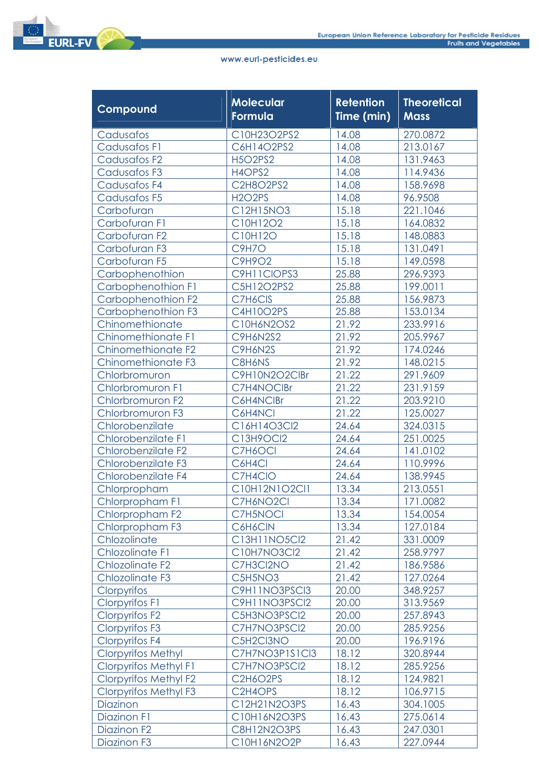| Compound                     | <b>Molecular</b><br>Formula | <b>Retention</b><br>Time (min) | <b>Theoretical</b><br><b>Mass</b> |
|------------------------------|-----------------------------|--------------------------------|-----------------------------------|
| Cadusafos                    | C10H23O2PS2                 | 14.08                          | 270.0872                          |
| <b>Cadusafos F1</b>          | C6H14O2PS2                  | 14.08                          | 213.0167                          |
| Cadusafos F <sub>2</sub>     | <b>H5O2PS2</b>              | 14.08                          | 131.9463                          |
| Cadusafos F3                 | H4OPS2                      | 14.08                          | 114.9436                          |
| Cadusafos F4                 | C2H8O2PS2                   | 14.08                          | 158.9698                          |
| Cadusafos F5                 | <b>H2O2PS</b>               | 14.08                          | 96.9508                           |
| Carbofuran                   | C12H15NO3                   | 15.18                          | 221.1046                          |
| Carbofuran F1                | C10H12O2                    | 15.18                          | 164.0832                          |
| Carbofuran F2                | C10H12O                     | 15.18                          | 148.0883                          |
| Carbofuran F3                | <b>C9H7O</b>                | 15.18                          | 131.0491                          |
| Carbofuran F5                | C9H9O2                      | 15.18                          | 149.0598                          |
| Carbophenothion              | C9H11CIOPS3                 | 25.88                          | 296.9393                          |
| Carbophenothion F1           | C5H12O2PS2                  | 25.88                          | 199.0011                          |
| Carbophenothion F2           | C7H6CIS                     | 25.88                          | 156.9873                          |
| Carbophenothion F3           | <b>C4H10O2PS</b>            | 25.88                          | 153.0134                          |
| Chinomethionate              | C10H6N2OS2                  | 21.92                          | 233.9916                          |
| Chinomethionate F1           | <b>C9H6N2S2</b>             | 21.92                          | 205.9967                          |
| Chinomethionate F2           | C9H6N2S                     | 21.92                          | 174.0246                          |
| Chinomethionate F3           | C8H6NS                      | 21.92                          | 148.0215                          |
| Chlorbromuron                | C9H10N2O2ClBr               | 21.22                          | 291.9609                          |
| Chlorbromuron F1             | C7H4NOCIBr                  | 21.22                          | 231.9159                          |
| Chlorbromuron F2             | C6H4NCIBr                   | 21.22                          | 203.9210                          |
| Chlorbromuron F3             | C6H4NCI                     | 21.22                          | 125.0027                          |
| Chlorobenzilate              | C16H14O3Cl2                 | 24.64                          | 324.0315                          |
| Chlorobenzilate F1           | C13H9OCl2                   | 24.64                          | 251.0025                          |
| Chlorobenzilate F2           | C7H6OCI                     | 24.64                          | 141.0102                          |
| Chlorobenzilate F3           | C6H4Cl                      | 24.64                          | 110.9996                          |
| Chlorobenzilate F4           | C7H4CIO                     | 24.64                          | 138.9945                          |
| Chlorpropham                 | C10H12N1O2Cl1               | 13.34                          | 213.0551                          |
| Chlorpropham F1              | C7H6NO2CI                   | 13.34                          | 171.0082                          |
| Chlorpropham F2              | C7H5NOCI                    | 13.34                          | 154.0054                          |
| Chlorpropham F3              | C6H6CIN                     | 13.34                          | 127.0184                          |
| Chlozolinate                 | C13H11NO5Cl2                | 21.42                          | 331.0009                          |
| Chlozolinate F1              | C10H7NO3Cl2                 | 21.42                          | 258.9797                          |
| <b>Chlozolinate F2</b>       | C7H3Cl2NO                   | 21.42                          | 186.9586                          |
| Chlozolinate F3              | C5H5NO3                     | 21.42                          | 127.0264                          |
| Clorpyrifos                  | C9H11NO3PSCI3               | 20.00                          | 348.9257                          |
| <b>Clorpyrifos F1</b>        | C9H11NO3PSCI2               | 20.00                          | 313.9569                          |
| <b>Clorpyrifos F2</b>        | C5H3NO3PSCI2                | 20.00                          | 257.8943                          |
| <b>Clorpyrifos F3</b>        | C7H7NO3PSCI2                | 20.00                          | 285.9256                          |
| <b>Clorpyrifos F4</b>        | C5H2Cl3NO                   | 20.00                          | 196.9196                          |
| <b>Clorpyrifos Methyl</b>    | C7H7NO3P1S1Cl3              | 18.12                          | 320.8944                          |
| <b>Clorpyrifos Methyl F1</b> | C7H7NO3PSCI2                | 18.12                          | 285.9256                          |
| <b>Clorpyrifos Methyl F2</b> | C2H6O2PS                    | 18.12                          | 124.9821                          |
| <b>Clorpyrifos Methyl F3</b> | C2H4OPS                     | 18.12                          | 106.9715                          |
| Diazinon                     | C12H21N2O3PS                | 16.43                          | 304.1005                          |
| Diazinon F1                  | C10H16N2O3PS                | 16.43                          | 275.0614                          |
| Diazinon F <sub>2</sub>      | C8H12N2O3PS                 | 16.43                          | 247.0301                          |
| Diazinon F3                  | C10H16N2O2P                 | 16.43                          | 227.0944                          |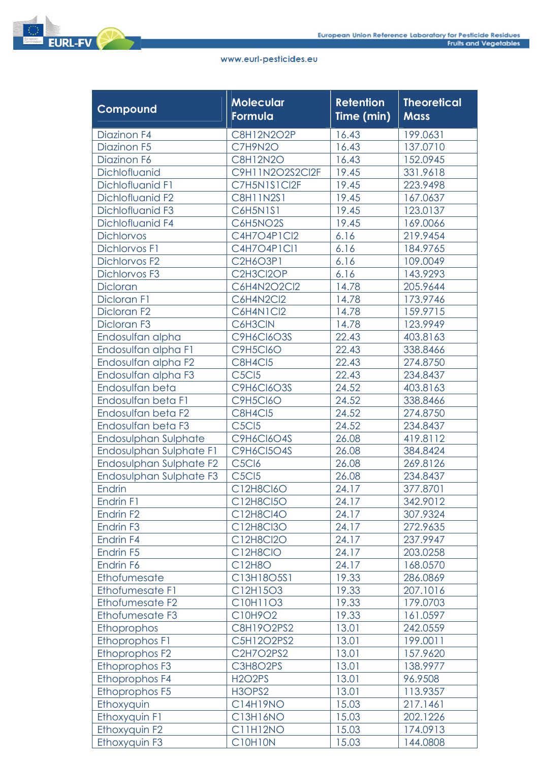| Compound                | <b>Molecular</b><br>Formula                  | <b>Retention</b><br>Time (min) | <b>Theoretical</b><br><b>Mass</b> |
|-------------------------|----------------------------------------------|--------------------------------|-----------------------------------|
| Diazinon F4             | C8H12N2O2P                                   | 16.43                          | 199.0631                          |
| Diazinon F5             | C7H9N2O                                      | 16.43                          | 137.0710                          |
| Diazinon F6             | <b>C8H12N2O</b>                              | 16.43                          | 152.0945                          |
| Dichlofluanid           | C9H11N2O2S2Cl2F                              | 19.45                          | 331.9618                          |
| Dichlofluanid F1        | C7H5N1S1Cl2F                                 | 19.45                          | 223.9498                          |
| Dichlofluanid F2        | <b>C8H11N2S1</b>                             | 19.45                          | 167.0637                          |
| Dichlofluanid F3        | <b>C6H5N1S1</b>                              | 19.45                          | 123.0137                          |
| Dichlofluanid F4        | C6H5NO2S                                     | 19.45                          | 169.0066                          |
| <b>Dichlorvos</b>       | C4H7O4P1Cl2                                  | 6.16                           | 219.9454                          |
| <b>Dichlorvos F1</b>    | C4H7O4P1Cl1                                  | 6.16                           | 184.9765                          |
| <b>Dichlorvos F2</b>    | C2H6O3P1                                     | 6.16                           | 109.0049                          |
| <b>Dichlorvos F3</b>    | C2H3Cl2OP                                    | 6.16                           | 143.9293                          |
| <b>Dicloran</b>         | C6H4N2O2Cl2                                  | 14.78                          | 205.9644                          |
| Dicloran F1             | C6H4N2Cl2                                    | 14.78                          | 173.9746                          |
| Dicloran F <sub>2</sub> | C6H4N1Cl2                                    | 14.78                          | 159.9715                          |
| Dicloran F3             | C6H3CIN                                      | 14.78                          | 123.9949                          |
| Endosulfan alpha        | <b>C9H6CI6O3S</b>                            | 22.43                          | 403.8163                          |
| Endosulfan alpha F1     | <b>C9H5CI6O</b>                              | 22.43                          | 338.8466                          |
| Endosulfan alpha F2     | <b>C8H4Cl5</b>                               | 22.43                          | 274.8750                          |
| Endosulfan alpha F3     | C <sub>5</sub> C <sub>15</sub>               | 22.43                          | 234.8437                          |
| Endosulfan beta         | <b>C9H6CI6O3S</b>                            | 24.52                          | 403.8163                          |
| Endosulfan beta F1      | <b>C9H5CI6O</b>                              | 24.52                          | 338.8466                          |
| Endosulfan beta F2      | C8H4Cl5                                      | 24.52                          | 274.8750                          |
| Endosulfan beta F3      | C <sub>5</sub> C <sub>15</sub>               | 24.52                          | 234.8437                          |
| Endosulphan Sulphate    | <b>C9H6CI6O4S</b>                            | 26.08                          | 419.8112                          |
| Endosulphan Sulphate F1 | <b>C9H6CI5O4S</b>                            | 26.08                          | 384.8424                          |
| Endosulphan Sulphate F2 | C <sub>5</sub> Cl <sub>6</sub>               | 26.08                          | 269.8126                          |
| Endosulphan Sulphate F3 | <b>C5Cl5</b>                                 | 26.08                          | 234.8437                          |
| <b>Endrin</b>           | C12H8CI6O                                    | 24.17                          | 377.8701                          |
| Endrin F1               | C12H8Cl5O                                    | 24.17                          | 342.9012                          |
| Endrin F <sub>2</sub>   | C12H8Cl4O                                    | 24.17                          | 307.9324                          |
| Endrin F <sub>3</sub>   | C12H8Cl3O                                    | 24.17                          | 272.9635                          |
| Endrin F4               | C12H8Cl2O                                    | 24.17                          | 237.9947                          |
| Endrin <sub>F5</sub>    | C12H8CIO                                     | 24.17                          | 203.0258                          |
| Endrin F6               | C12H8O                                       | 24.17                          | 168.0570                          |
| Ethofumesate            | C13H18O5S1                                   | 19.33                          | 286.0869                          |
| Ethofumesate F1         | C12H15O3                                     | 19.33                          | 207.1016                          |
| Ethofumesate F2         | C10H11O3                                     | 19.33                          | 179.0703                          |
| Ethofumesate F3         | C10H9O2                                      | 19.33                          | 161.0597                          |
| Ethoprophos             | C8H19O2PS2                                   | 13.01                          | 242.0559                          |
| Ethoprophos F1          | C5H12O2PS2                                   | 13.01                          | 199.0011                          |
| Ethoprophos F2          | C2H7O2PS2                                    | 13.01                          | 157.9620                          |
| Ethoprophos F3          | C3H8O2PS                                     | 13.01                          | 138.9977                          |
| Ethoprophos F4          | H <sub>2</sub> O <sub>2</sub> P <sub>S</sub> | 13.01                          | 96.9508                           |
| Ethoprophos F5          | H3OPS2                                       | 13.01                          | 113.9357                          |
| Ethoxyquin              | C14H19NO                                     | 15.03                          | 217.1461                          |
| Ethoxyquin F1           | C13H16NO                                     | 15.03                          | 202.1226                          |
| Ethoxyquin F2           | <b>C11H12NO</b>                              | 15.03                          | 174.0913                          |
| Ethoxyquin F3           | C10H10N                                      | 15.03                          | 144.0808                          |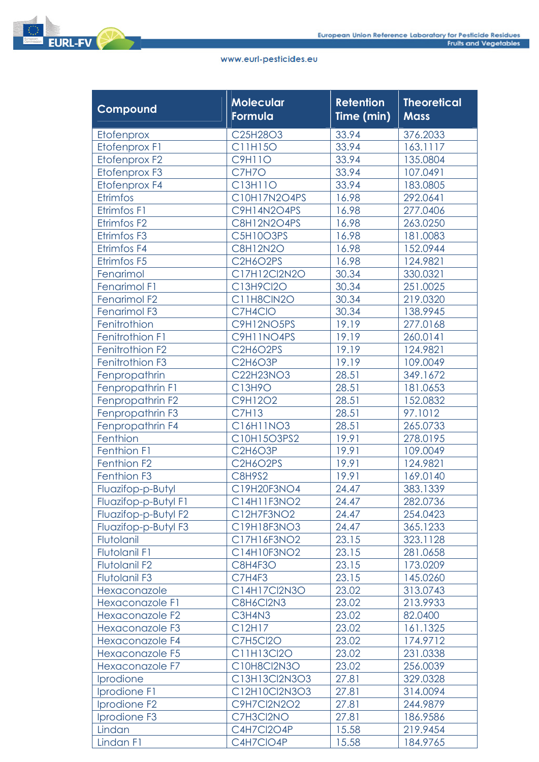

| Compound                 | <b>Molecular</b><br>Formula | <b>Retention</b><br>Time (min) | <b>Theoretical</b><br><b>Mass</b> |
|--------------------------|-----------------------------|--------------------------------|-----------------------------------|
| Etofenprox               | C25H28O3                    | 33.94                          | 376.2033                          |
| Etofenprox F1            | C11H15O                     | 33.94                          | 163.1117                          |
| Etofenprox F2            | <b>C9H11O</b>               | 33.94                          | 135.0804                          |
| Etofenprox F3            | C7H7O                       | 33.94                          | 107.0491                          |
| Etofenprox F4            | C13H11O                     | 33.94                          | 183.0805                          |
| Etrimfos                 | C10H17N2O4PS                | 16.98                          | 292.0641                          |
| Etrimfos F1              | C9H14N2O4PS                 | 16.98                          | 277.0406                          |
| Etrimfos F2              | C8H12N2O4PS                 | 16.98                          | 263.0250                          |
| Etrimfos F3              | C5H10O3PS                   | 16.98                          | 181.0083                          |
| Etrimfos F4              | <b>C8H12N2O</b>             | 16.98                          | 152.0944                          |
| Etrimfos F5              | C2H6O2PS                    | 16.98                          | 124.9821                          |
| Fenarimol                | C17H12Cl2N2O                | 30.34                          | 330.0321                          |
| Fenarimol F1             | C13H9Cl2O                   | 30.34                          | 251.0025                          |
| Fenarimol F <sub>2</sub> | C11H8CIN2O                  | 30.34                          | 219.0320                          |
| Fenarimol F3             | C7H4CIO                     | 30.34                          | 138.9945                          |
| Fenitrothion             | C9H12NO5PS                  | 19.19                          | 277.0168                          |
| Fenitrothion F1          | C9H11NO4PS                  | 19.19                          | 260.0141                          |
| Fenitrothion F2          | C2H6O2PS                    | 19.19                          | 124.9821                          |
| Fenitrothion F3          | <b>C2H6O3P</b>              | 19.19                          | 109.0049                          |
| Fenpropathrin            | C22H23NO3                   | 28.51                          | 349.1672                          |
| Fenpropathrin F1         | C13H9O                      | 28.51                          | 181.0653                          |
| Fenpropathrin F2         | C9H12O2                     | 28.51                          | 152.0832                          |
| Fenpropathrin F3         | <b>C7H13</b>                | 28.51                          | 97.1012                           |
| Fenpropathrin F4         | C16H11NO3                   | 28.51                          | 265.0733                          |
| Fenthion                 | C10H15O3PS2                 | 19.91                          | 278.0195                          |
| Fenthion F1              | <b>C2H6O3P</b>              | 19.91                          | 109.0049                          |
| Fenthion F <sub>2</sub>  | <b>C2H6O2PS</b>             | 19.91                          | 124.9821                          |
| Fenthion F3              | <b>C8H9S2</b>               | 19.91                          | 169.0140                          |
| Fluazifop-p-Butyl        | C19H20F3NO4                 | 24.47                          | 383.1339                          |
| Fluazifop-p-Butyl F1     | C14H11F3NO2                 | 24.47                          | 282.0736                          |
| Fluazifop-p-Butyl F2     | C12H7F3NO2                  | 24.47                          | 254.0423                          |
| Fluazifop-p-Butyl F3     | C19H18F3NO3                 | 24.47                          | 365.1233                          |
| Flutolanil               | C17H16F3NO2                 | 23.15                          | 323.1128                          |
| <b>Flutolanil F1</b>     | C14H10F3NO2                 | 23.15                          | 281.0658                          |
| <b>Flutolanil F2</b>     | C8H4F3O                     | 23.15                          | 173.0209                          |
| <b>Flutolanil F3</b>     | C7H4F3                      | 23.15                          | 145.0260                          |
| Hexaconazole             | C14H17Cl2N3O                | 23.02                          | 313.0743                          |
| Hexaconazole F1          | C8H6Cl2N3                   | 23.02                          | 213.9933                          |
| Hexaconazole F2          | C3H4N3                      | 23.02                          | 82.0400                           |
| Hexaconazole F3          | C12H17                      | 23.02                          | 161.1325                          |
| Hexaconazole F4          | <b>C7H5Cl2O</b>             | 23.02                          | 174.9712                          |
| Hexaconazole F5          | C11H13Cl2O                  | 23.02                          | 231.0338                          |
| Hexaconazole F7          | C10H8Cl2N3O                 | 23.02                          | 256.0039                          |
| Iprodione                | C13H13Cl2N3O3               | 27.81                          | 329.0328                          |
| Iprodione F1             | C12H10Cl2N3O3               | 27.81                          | 314.0094                          |
| Iprodione F <sub>2</sub> | C9H7Cl2N2O2                 | 27.81                          | 244.9879                          |
| Iprodione F3             | C7H3Cl2NO                   | 27.81                          | 186.9586                          |
| Lindan                   | C4H7Cl2O4P                  | 15.58                          | 219.9454                          |
| Lindan F1                | C4H7CIO4P                   | 15.58                          | 184.9765                          |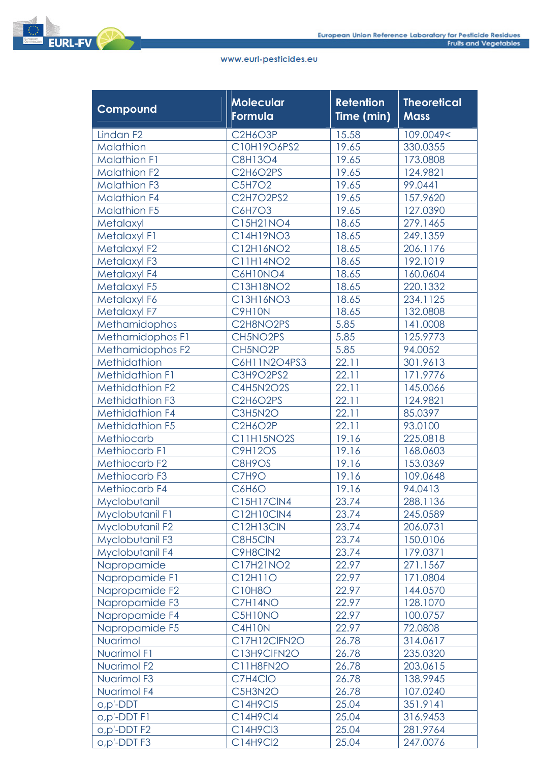

| Compound                | Molecular<br>Formula | <b>Retention</b><br>Time (min) | <b>Theoretical</b><br><b>Mass</b> |
|-------------------------|----------------------|--------------------------------|-----------------------------------|
| Lindan <sub>F2</sub>    | <b>C2H6O3P</b>       | 15.58                          | 109.0049<                         |
| Malathion               | C10H19O6PS2          | 19.65                          | 330.0355                          |
| <b>Malathion F1</b>     | C8H13O4              | 19.65                          | 173.0808                          |
| <b>Malathion F2</b>     | C2H6O2PS             | 19.65                          | 124.9821                          |
| <b>Malathion F3</b>     | C5H7O2               | 19.65                          | 99.0441                           |
| <b>Malathion F4</b>     | C2H7O2PS2            | 19.65                          | 157.9620                          |
| <b>Malathion F5</b>     | C6H7O3               | 19.65                          | 127.0390                          |
| Metalaxyl               | C15H21NO4            | 18.65                          | 279.1465                          |
| Metalaxyl F1            | C14H19NO3            | 18.65                          | 249.1359                          |
| <b>Metalaxyl F2</b>     | C12H16NO2            | 18.65                          | 206.1176                          |
| Metalaxyl F3            | C11H14NO2            | 18.65                          | 192.1019                          |
| Metalaxyl F4            | <b>C6H10NO4</b>      | 18.65                          | 160.0604                          |
| Metalaxyl F5            | C13H18NO2            | 18.65                          | 220.1332                          |
| Metalaxyl F6            | C13H16NO3            | 18.65                          | 234.1125                          |
| Metalaxyl F7            | <b>C9H10N</b>        | 18.65                          | 132.0808                          |
| Methamidophos           | C2H8NO2PS            | 5.85                           | 141.0008                          |
| Methamidophos F1        | CH5NO2PS             | 5.85                           | 125.9773                          |
| Methamidophos F2        | CH5NO2P              | 5.85                           | 94.0052                           |
| Methidathion            | C6H11N2O4PS3         | 22.11                          | 301.9613                          |
| <b>Methidathion F1</b>  | C3H9O2PS2            | 22.11                          | 171.9776                          |
| <b>Methidathion F2</b>  | C4H5N2O2S            | 22.11                          | 145.0066                          |
| <b>Methidathion F3</b>  | C2H6O2PS             | 22.11                          | 124.9821                          |
| <b>Methidathion F4</b>  | C3H5N2O              | 22.11                          | 85.0397                           |
| <b>Methidathion F5</b>  | <b>C2H6O2P</b>       | 22.11                          | 93.0100                           |
| Methiocarb              | C11H15NO2S           | 19.16                          | 225.0818                          |
| <b>Methiocarb F1</b>    | <b>C9H12OS</b>       | 19.16                          | 168.0603                          |
| <b>Methiocarb F2</b>    | C8H9OS               | 19.16                          | 153.0369                          |
| Methiocarb F3           | C7H9O                | 19.16                          | 109.0648                          |
| <b>Methiocarb F4</b>    | C6H6O                | 19.16                          | 94.0413                           |
| Myclobutanil            | C15H17ClN4           | 23.74                          | 288.1136                          |
| Myclobutanil F1         | C12H10ClN4           | 23.74                          | 245.0589                          |
| Myclobutanil F2         | C12H13CIN            | 23.74                          | 206.0731                          |
| Myclobutanil F3         | C8H5CIN              | 23.74                          | 150.0106                          |
| Myclobutanil F4         | C9H8CIN2             | 23.74                          | 179.0371                          |
| Napropamide             | C17H21NO2            | 22.97                          | 271.1567                          |
| Napropamide F1          | C12H11O              | 22.97                          | 171.0804                          |
| Napropamide F2          | <b>C10H8O</b>        | 22.97                          | 144.0570                          |
| Napropamide F3          | C7H14NO              | 22.97                          | 128.1070                          |
| Napropamide F4          | C5H10NO              | 22.97                          | 100.0757                          |
| Napropamide F5          | C4H10N               | 22.97                          | 72.0808                           |
| Nuarimol                | C17H12ClFN2O         | 26.78                          | 314.0617                          |
| Nuarimol F1             | C13H9ClFN2O          | 26.78                          | 235.0320                          |
| Nuarimol F <sub>2</sub> | C11H8FN2O            | 26.78                          | 203.0615                          |
| Nuarimol F3             | C7H4CIO              | 26.78                          | 138.9945                          |
| Nuarimol F4             | C5H3N2O              | 26.78                          | 107.0240                          |
| o,p'-DDT                | C14H9Cl5             | 25.04                          | 351.9141                          |
| o,p'-DDT F1             | C14H9Cl4             | 25.04                          | 316.9453                          |
| o,p'-DDT F2             | C14H9Cl3             | 25.04                          | 281.9764                          |
| o,p'-DDTF3              | C14H9Cl2             | 25.04                          | 247.0076                          |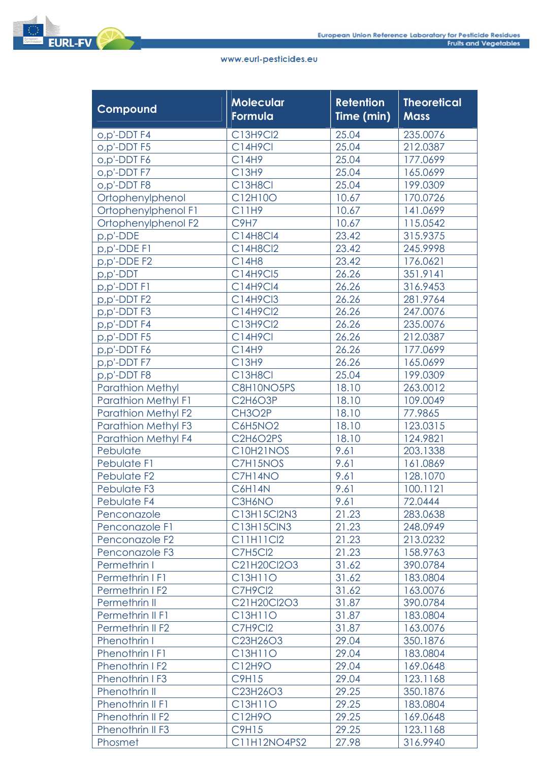

| Compound                   | <b>Molecular</b><br>Formula | <b>Retention</b><br>Time (min) | <b>Theoretical</b><br><b>Mass</b> |
|----------------------------|-----------------------------|--------------------------------|-----------------------------------|
| o,p'-DDT F4                | C13H9Cl2                    | 25.04                          | 235.0076                          |
| o,p'-DDT F5                | <b>C14H9Cl</b>              | 25.04                          | 212.0387                          |
| o,p'-DDT F6                | C14H9                       | 25.04                          | 177.0699                          |
| o,p'-DDT F7                | C13H9                       | 25.04                          | 165.0699                          |
| o,p'-DDT F8                | C13H8Cl                     | 25.04                          | 199.0309                          |
| Ortophenylphenol           | C12H10O                     | 10.67                          | 170.0726                          |
| Ortophenylphenol F1        | C11H9                       | 10.67                          | 141.0699                          |
| Ortophenylphenol F2        | C9H7                        | 10.67                          | 115.0542                          |
| p,p'-DDE                   | C14H8Cl4                    | 23.42                          | 315.9375                          |
| p,p'-DDE F1                | C14H8Cl2                    | 23.42                          | 245.9998                          |
| p,p'-DDE F2                | C14H8                       | 23.42                          | 176.0621                          |
| p,p'-DDT                   | C14H9Cl5                    | 26.26                          | 351.9141                          |
| p,p'-DDT F1                | C14H9Cl4                    | 26.26                          | 316.9453                          |
| p,p'-DDTF2                 | C14H9Cl3                    | 26.26                          | 281.9764                          |
| p,p'-DDTF3                 | C14H9Cl2                    | 26.26                          | 247.0076                          |
| p,p'-DDT F4                | C13H9Cl2                    | 26.26                          | 235.0076                          |
| p,p'-DDTF5                 | <b>C14H9Cl</b>              | 26.26                          | 212.0387                          |
| p,p'-DDT F6                | C14H9                       | 26.26                          | 177.0699                          |
| p,p'-DDT F7                | C13H9                       | 26.26                          | 165.0699                          |
| p,p'-DDTF8                 | C13H8Cl                     | 25.04                          | 199.0309                          |
| <b>Parathion Methyl</b>    | C8H10NO5PS                  | 18.10                          | 263.0012                          |
| <b>Parathion Methyl F1</b> | <b>C2H6O3P</b>              | 18.10                          | 109.0049                          |
| <b>Parathion Methyl F2</b> | CH3O2P                      | 18.10                          | 77.9865                           |
| <b>Parathion Methyl F3</b> | C6H5NO <sub>2</sub>         | 18.10                          | 123.0315                          |
| <b>Parathion Methyl F4</b> | C2H6O2PS                    | 18.10                          | 124.9821                          |
| Pebulate                   | C10H21NOS                   | 9.61                           | 203.1338                          |
| Pebulate F1                | C7H15NOS                    | 9.61                           | 161.0869                          |
| Pebulate F <sub>2</sub>    | C7H14NO                     | 9.61                           | 128.1070                          |
| Pebulate F3                | C6H14N                      | 9.61                           | 100.1121                          |
| Pebulate F4                | C3H6NO                      | 9.61                           | 72.0444                           |
| Penconazole                | C13H15Cl2N3                 | 21.23                          | 283.0638                          |
| Penconazole F1             | C13H15ClN3                  | 21.23                          | 248.0949                          |
| Penconazole F2             | <b>C11H11Cl2</b>            | 21.23                          | 213.0232                          |
| Pencongzole F3             | <b>C7H5Cl2</b>              | 21.23                          | 158.9763                          |
| Permethrin I               | C21H20Cl2O3                 | 31.62                          | 390.0784                          |
| Permethrin I F1            | C13H11O                     | 31.62                          | 183.0804                          |
| Permethrin I F2            | C7H9Cl2                     | 31.62                          | 163.0076                          |
| Permethrin II              | C21H20Cl2O3                 | 31.87                          | 390.0784                          |
| Permethrin II F1           | C13H11O                     | 31.87                          | 183.0804                          |
| Permethrin II F2           | C7H9Cl2                     | 31.87                          | 163.0076                          |
| Phenothrin I               | C23H26O3                    | 29.04                          | 350.1876                          |
| Phenothrin I F1            | C13H11O                     | 29.04                          | 183.0804                          |
| Phenothrin IF <sub>2</sub> | C12H9O                      | 29.04                          | 169.0648                          |
| Phenothrin IF3             | <b>C9H15</b>                | 29.04                          | 123.1168                          |
| Phenothrin II              | C23H26O3                    | 29.25                          | 350.1876                          |
| Phenothrin II F1           | C13H11O                     | 29.25                          | 183.0804                          |
| Phenothrin II F2           | C12H9O                      | 29.25                          | 169.0648                          |
| Phenothrin II F3           | <b>C9H15</b>                | 29.25                          | 123.1168                          |
| Phosmet                    | C11H12NO4PS2                | 27.98                          | 316.9940                          |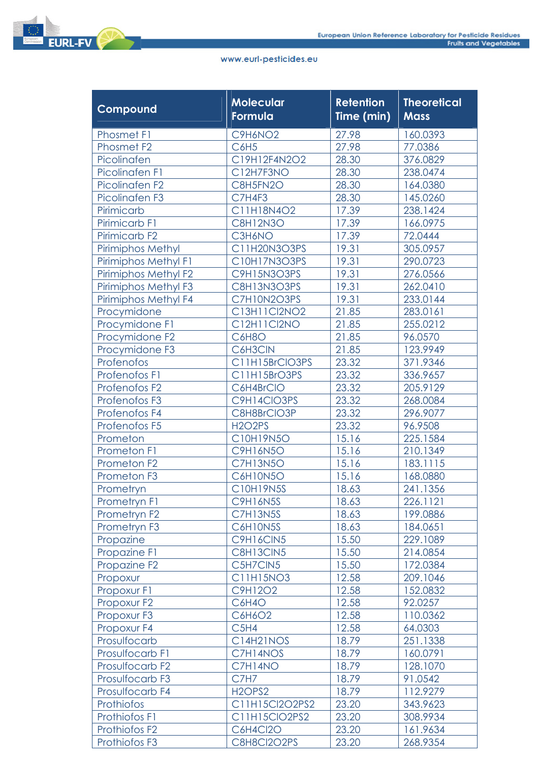

| Compound                   | <b>Molecular</b><br>Formula     | <b>Retention</b><br>Time (min) | <b>Theoretical</b><br><b>Mass</b> |
|----------------------------|---------------------------------|--------------------------------|-----------------------------------|
| <b>Phosmet F1</b>          | C9H6NO2                         | 27.98                          | 160.0393                          |
| Phosmet F <sub>2</sub>     | <b>C6H5</b>                     | 27.98                          | 77.0386                           |
| Picolinafen                | C19H12F4N2O2                    | 28.30                          | 376.0829                          |
| Picolinafen F1             | C12H7F3NO                       | 28.30                          | 238.0474                          |
| Picolinafen F <sub>2</sub> | C8H5FN2O                        | 28.30                          | 164.0380                          |
| Picolinafen F3             | C7H4F3                          | 28.30                          | 145.0260                          |
| Pirimicarb                 | C11H18N4O2                      | 17.39                          | 238.1424                          |
| Pirimicarb F1              | <b>C8H12N3O</b>                 | 17.39                          | 166.0975                          |
| Pirimicarb <sub>F2</sub>   | C3H6NO                          | 17.39                          | 72.0444                           |
| <b>Pirimiphos Methyl</b>   | C11H20N3O3PS                    | 19.31                          | 305.0957                          |
| Pirimiphos Methyl F1       | C10H17N3O3PS                    | 19.31                          | 290.0723                          |
| Pirimiphos Methyl F2       | C9H15N3O3PS                     | 19.31                          | 276.0566                          |
| Pirimiphos Methyl F3       | C8H13N3O3PS                     | 19.31                          | 262.0410                          |
| Pirimiphos Methyl F4       | C7H10N2O3PS                     | 19.31                          | 233.0144                          |
| Procymidone                | C13H11Cl2NO2                    | 21.85                          | 283.0161                          |
| Procymidone F1             | C12H11Cl2NO                     | 21.85                          | 255.0212                          |
| Procymidone F2             | <b>C6H8O</b>                    | 21.85                          | 96.0570                           |
| Procymidone F3             | C6H3CIN                         | 21.85                          | 123.9949                          |
| Profenofos                 | C11H15BrCIO3PS                  | 23.32                          | 371.9346                          |
| Profenofos F1              | C11H15BrO3PS                    | 23.32                          | 336.9657                          |
| Profenofos F <sub>2</sub>  | C6H4BrCIO                       | 23.32                          | 205.9129                          |
| Profenofos F3              | C9H14CIO3PS                     | 23.32                          | 268.0084                          |
| Profenofos F4              | C8H8BrCIO3P                     | 23.32                          | 296.9077                          |
| Profenofos F5              | <b>H2O2PS</b>                   | 23.32                          | 96.9508                           |
| Prometon                   | C10H19N5O                       | 15.16                          | 225.1584                          |
| Prometon F1                | <b>C9H16N5O</b>                 | 15.16                          | 210.1349                          |
| Prometon F <sub>2</sub>    | <b>C7H13N5O</b>                 | 15.16                          | 183.1115                          |
| Prometon F3                | <b>C6H10N5O</b>                 | 15.16                          | 168.0880                          |
| Prometryn                  | C10H19N5S                       | 18.63                          | 241.1356                          |
| Prometryn F1               | <b>C9H16N5S</b>                 | 18.63                          | 226.1121                          |
| Prometryn F <sub>2</sub>   | <b>C7H13N5S</b>                 | 18.63                          | 199.0886                          |
| Prometryn F3               | C6H10N5S                        | 18.63                          | 184.0651                          |
| Propazine                  | <b>C9H16CIN5</b>                | 15.50                          | 229.1089                          |
| Propazine F1               | C8H13CIN5                       | 15.50                          | 214.0854                          |
| Propazine F <sub>2</sub>   | C5H7CIN5                        | 15.50                          | 172.0384                          |
| Propoxur                   | C11H15NO3                       | 12.58                          | 209.1046                          |
| Propoxur F1                | C9H12O2                         | 12.58                          | 152.0832                          |
| Propoxur F2                | C6H4O                           | 12.58                          | 92.0257                           |
| Propoxur F3                | C6H6O2                          | 12.58                          | 110.0362                          |
| Propoxur F4                | C <sub>5</sub> H <sub>4</sub>   | 12.58                          | 64.0303                           |
| Prosulfocarb               | C14H21NOS                       | 18.79                          | 251.1338                          |
| Prosulfocarb F1            | C7H14NOS                        | 18.79                          | 160.0791                          |
| Prosulfocarb F2            | C7H14NO                         | 18.79                          | 128.1070                          |
| Prosulfocarb F3            | <b>C7H7</b>                     | 18.79                          | 91.0542                           |
| Prosulfocarb F4            | H <sub>2</sub> OPS <sub>2</sub> | 18.79                          | 112.9279                          |
| Prothiofos                 | C11H15Cl2O2PS2                  | 23.20                          | 343.9623                          |
| Prothiofos F1              | C11H15ClO2PS2                   | 23.20                          | 308.9934                          |
| Prothiofos F2              | <b>C6H4Cl2O</b>                 | 23.20                          | 161.9634                          |
| Prothiofos F3              | C8H8Cl2O2PS                     | 23.20                          | 268.9354                          |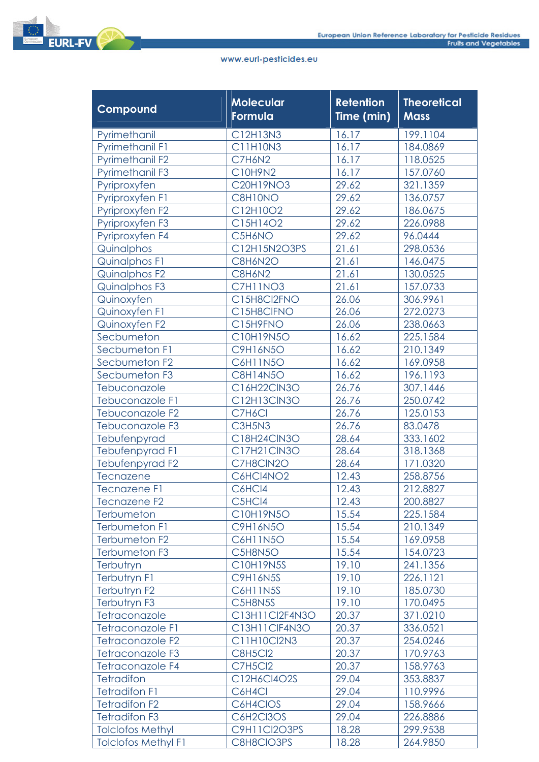

| Compound                   | Molecular<br>Formula | <b>Retention</b><br>Time (min) | <b>Theoretical</b><br><b>Mass</b> |
|----------------------------|----------------------|--------------------------------|-----------------------------------|
| Pyrimethanil               | C12H13N3             | 16.17                          | 199.1104                          |
| <b>Pyrimethanil F1</b>     | C11H10N3             | 16.17                          | 184.0869                          |
| <b>Pyrimethanil F2</b>     | C7H6N2               | 16.17                          | 118.0525                          |
| <b>Pyrimethanil F3</b>     | C10H9N2              | 16.17                          | 157.0760                          |
| Pyriproxyfen               | <b>C20H19NO3</b>     | 29.62                          | 321.1359                          |
| Pyriproxyfen F1            | C8H10NO              | 29.62                          | 136.0757                          |
| Pyriproxyfen F2            | C12H10O2             | 29.62                          | 186.0675                          |
| Pyriproxyfen F3            | C15H14O2             | 29.62                          | 226.0988                          |
| Pyriproxyfen F4            | C5H6NO               | 29.62                          | 96.0444                           |
| Quinalphos                 | C12H15N2O3PS         | 21.61                          | 298.0536                          |
| <b>Quinalphos F1</b>       | C8H6N2O              | 21.61                          | 146.0475                          |
| Quinalphos F2              | C8H6N2               | 21.61                          | 130.0525                          |
| Quinalphos F3              | C7H11NO3             | 21.61                          | 157.0733                          |
| Quinoxyfen                 | C15H8Cl2FNO          | 26.06                          | 306.9961                          |
| Quinoxyfen F1              | C15H8ClFNO           | 26.06                          | 272.0273                          |
| Quinoxyfen F2              | C15H9FNO             | 26.06                          | 238.0663                          |
| Secbumeton                 | C10H19N5O            | 16.62                          | 225.1584                          |
| Secbumeton F1              | <b>C9H16N5O</b>      | 16.62                          | 210.1349                          |
| Secbumeton F2              | <b>C6H11N5O</b>      | 16.62                          | 169.0958                          |
| Secbumeton F3              | <b>C8H14N5O</b>      | 16.62                          | 196.1193                          |
| Tebuconazole               | C16H22CIN3O          | 26.76                          | 307.1446                          |
| Tebuconazole F1            | C12H13CIN3O          | 26.76                          | 250.0742                          |
| Tebuconazole F2            | C7H6Cl               | 26.76                          | 125.0153                          |
| Tebuconazole F3            | C3H5N3               | 26.76                          | 83.0478                           |
| Tebufenpyrad               | C18H24ClN3O          | 28.64                          | 333.1602                          |
| <b>Tebufenpyrad F1</b>     | C17H21CIN3O          | 28.64                          | 318.1368                          |
| Tebufenpyrad F2            | C7H8CIN2O            | 28.64                          | 171.0320                          |
| Tecnazene                  | C6HCI4NO2            | 12.43                          | 258.8756                          |
| <b>Tecnazene F1</b>        | C6HCl4               | 12.43                          | 212.8827                          |
| <b>Tecnazene F2</b>        | C5HCl4               | 12.43                          | 200.8827                          |
| Terbumeton                 | C10H19N5O            | 15.54                          | 225.1584                          |
| <b>Terbumeton F1</b>       | C9H16N5O             | 15.54                          | 210.1349                          |
| Terbumeton F2              | C6H11N5O             | 15.54                          | 169.0958                          |
| Terbumeton F3              | C5H8N5O              | 15.54                          | 154.0723                          |
| Terbutryn                  | C10H19N5S            | 19.10                          | 241.1356                          |
| Terbutryn F1               | <b>C9H16N5S</b>      | 19.10                          | 226.1121                          |
| Terbutryn F2               | <b>C6H11N5S</b>      | 19.10                          | 185.0730                          |
| Terbutryn F3               | C5H8N5S              | 19.10                          | 170.0495                          |
| Tetraconazole              | C13H11Cl2F4N3O       | 20.37                          | 371.0210                          |
| <b>Tetraconazole F1</b>    | C13H11CIF4N3O        | 20.37                          | 336.0521                          |
| Tetraconazole F2           | C11H10Cl2N3          | 20.37                          | 254.0246                          |
| Tetraconazole F3           | <b>C8H5Cl2</b>       | 20.37                          | 170.9763                          |
| Tetraconazole F4           | <b>C7H5Cl2</b>       | 20.37                          | 158.9763                          |
| <b>Tetradifon</b>          | C12H6Cl4O2S          | 29.04                          | 353.8837                          |
| <b>Tetradifon F1</b>       | C6H4Cl               | 29.04                          | 110.9996                          |
| <b>Tetradifon F2</b>       | C6H4CIOS             | 29.04                          | 158.9666                          |
| <b>Tetradifon F3</b>       | C6H2Cl3OS            | 29.04                          | 226.8886                          |
| <b>Tolclofos Methyl</b>    | C9H11Cl2O3PS         | 18.28                          | 299.9538                          |
| <b>Tolclofos Methyl F1</b> | C8H8CIO3PS           | 18.28                          | 264.9850                          |